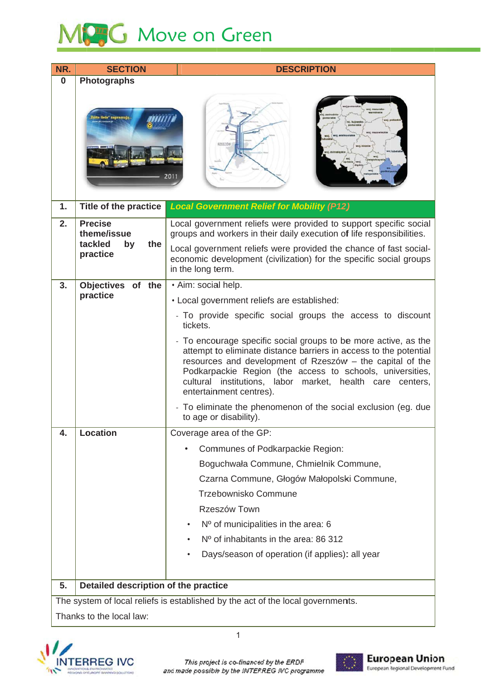## MPG Move on Green

| NR.      | <b>SECTION</b>                                                                  | <b>DESCRIPTION</b>                                                                                                                                                                                                                                                                                                                                     |  |  |
|----------|---------------------------------------------------------------------------------|--------------------------------------------------------------------------------------------------------------------------------------------------------------------------------------------------------------------------------------------------------------------------------------------------------------------------------------------------------|--|--|
| $\bf{0}$ | <b>Photographs</b>                                                              |                                                                                                                                                                                                                                                                                                                                                        |  |  |
|          | te linie" zapraszaj                                                             | ol Mork                                                                                                                                                                                                                                                                                                                                                |  |  |
| 1.       | <b>Title of the practice</b>                                                    | <b>Local Government Relief for Mobility (P12)</b>                                                                                                                                                                                                                                                                                                      |  |  |
| 2.       | <b>Precise</b><br>theme/issue<br>tackled<br>the<br>by<br>practice               | Local government reliefs were provided to support specific social<br>groups and workers in their daily execution of life responsibilities.                                                                                                                                                                                                             |  |  |
|          |                                                                                 | Local government reliefs were provided the chance of fast social-<br>economic development (civilization) for the specific social groups<br>in the long term.                                                                                                                                                                                           |  |  |
| 3.       | <b>Objectives</b><br>of the                                                     | · Aim: social help.                                                                                                                                                                                                                                                                                                                                    |  |  |
|          | practice                                                                        | • Local government reliefs are established:                                                                                                                                                                                                                                                                                                            |  |  |
|          |                                                                                 | - To provide specific social groups the access to discount<br>tickets.                                                                                                                                                                                                                                                                                 |  |  |
|          |                                                                                 | - To encourage specific social groups to be more active, as the<br>attempt to eliminate distance barriers in access to the potential<br>resources and development of Rzeszów - the capital of the<br>Podkarpackie Region (the access to schools, universities,<br>cultural institutions, labor market, health care centers,<br>entertainment centres). |  |  |
|          |                                                                                 | - To eliminate the phenomenon of the social exclusion (eg. due<br>to age or disability).                                                                                                                                                                                                                                                               |  |  |
| 4.       | <b>Location</b>                                                                 | Coverage area of the GP:                                                                                                                                                                                                                                                                                                                               |  |  |
|          |                                                                                 | Communes of Podkarpackie Region:<br>٠                                                                                                                                                                                                                                                                                                                  |  |  |
|          |                                                                                 | Boguchwała Commune, Chmielnik Commune,                                                                                                                                                                                                                                                                                                                 |  |  |
|          |                                                                                 | Czarna Commune, Głogów Małopolski Commune,                                                                                                                                                                                                                                                                                                             |  |  |
|          |                                                                                 | Trzebownisko Commune                                                                                                                                                                                                                                                                                                                                   |  |  |
|          |                                                                                 | Rzeszów Town                                                                                                                                                                                                                                                                                                                                           |  |  |
|          |                                                                                 | Nº of municipalities in the area: 6<br>٠                                                                                                                                                                                                                                                                                                               |  |  |
|          |                                                                                 | Nº of inhabitants in the area: 86 312                                                                                                                                                                                                                                                                                                                  |  |  |
|          |                                                                                 | Days/season of operation (if applies): all year                                                                                                                                                                                                                                                                                                        |  |  |
| 5.       | Detailed description of the practice                                            |                                                                                                                                                                                                                                                                                                                                                        |  |  |
|          | The system of local reliefs is established by the act of the local governments. |                                                                                                                                                                                                                                                                                                                                                        |  |  |
|          | Thanks to the local law:                                                        |                                                                                                                                                                                                                                                                                                                                                        |  |  |



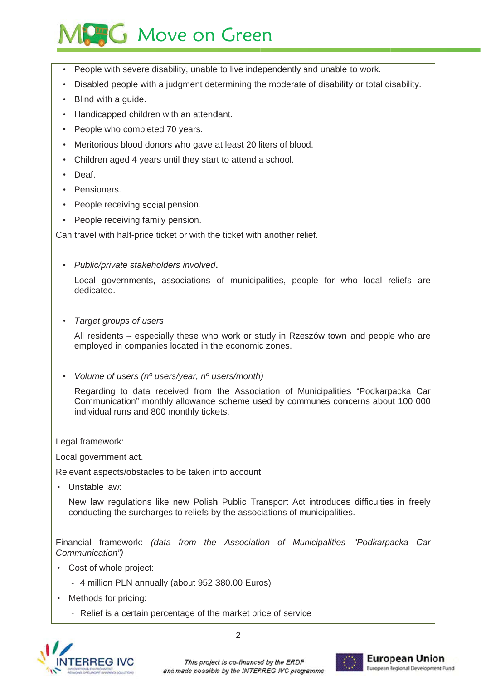## **AG** Move on Green

- People with severe disability, unable to live independently and unable to work.
- Disabled people with a judgment determining the moderate of disability or total disability.
- Blind with a guide.
- Handicapped children with an attendant.
- People who completed 70 years.
- Meritorious blood donors who gave at least 20 liters of blood.
- Children aged 4 years until they start to attend a school.
- Deaf
- Pensioners.
- People receiving social pension.
- People receiving family pension.

Can travel with half-price ticket or with the ticket with another relief.

• Public/private stakeholders involved.

Local governments, associations of municipalities, people for who local reliefs are dedicated.

Target groups of users

All residents – especially these who work or study in Rzeszów town and people who are employed in companies located in the economic zones.

Volume of users (n<sup>o</sup> users/year, n<sup>o</sup> users/month)

Regarding to data received from the Association of Municipalities "Podkarpacka Car Communication" monthly allowance scheme used by communes concerns about 100 000 individual runs and 800 monthly tickets.

Legal framework:

Local government act.

Relevant aspects/obstacles to be taken into account:

• Unstable law:

New law regulations like new Polish Public Transport Act introduces difficulties in freely conducting the surcharges to reliefs by the associations of municipalities.

Financial framework: (data from the Association of Municipalities "Podkarpacka Car Communication")

- Cost of whole project:
	- 4 million PLN annually (about 952,380.00 Euros)
- Methods for pricing:
	- Relief is a certain percentage of the market price of service